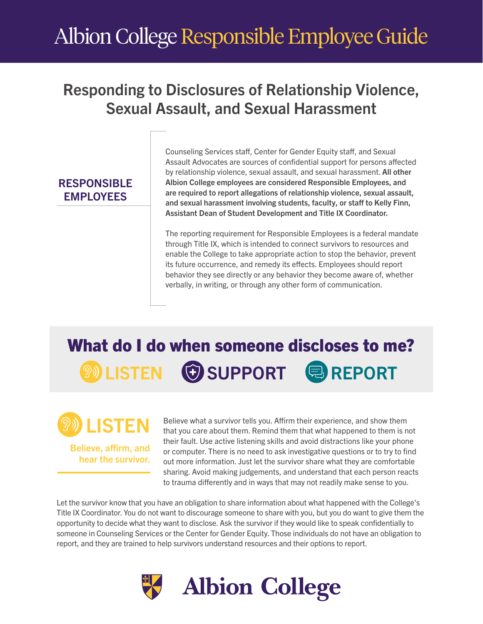# Albion College Responsible Employee Guide

## Responding to Disclosures of Relationship Violence, Sexual Assault, and Sexual Harassment

## RESPONSIBLE **EMPLOYEES**

Counseling Services staff, Center for Gender Equity staff, and Sexual Assault Advocates are sources of confidential support for persons affected by relationship violence, sexual assault, and sexual harassment. All other Albion College employees are considered Responsible Employees, and are required to report allegations of relationship violence, sexual assault, and sexual harassment involving students, faculty, or staff to Kelly Finn, Assistant Dean of Student Development and Title IX Coordinator.

The reporting requirement for Responsible Employees is a federal mandate through Title IX, which is intended to connect survivors to resources and enable the College to take appropriate action to stop the behavior, prevent its future occurrence, and remedy its effects. Employees should report behavior they see directly or any behavior they become aware of, whether verbally, in writing, or through any other form of communication.

## What do I do when someone discloses to me? **WEISTEN GISUPPORT & REPORT**



hear the survivor.

Believe what a survivor tells you. Affirm their experience, and show them that you care about them. Remind them that what happened to them is not their fault. Use active listening skills and avoid distractions like your phone or computer. There is no need to ask investigative questions or to try to find out more information. Just let the survivor share what they are comfortable sharing. Avoid making judgements, and understand that each person reacts to trauma differently and in ways that may not readily make sense to you.

Let the survivor know that you have an obligation to share information about what happened with the College's Title IX Coordinator. You do not want to discourage someone to share with you, but you do want to give them the opportunity to decide what they want to disclose. Ask the survivor if they would like to speak confidentially to someone in Counseling Services or the Center for Gender Equity. Those individuals do not have an obligation to report, and they are trained to help survivors understand resources and their options to report.

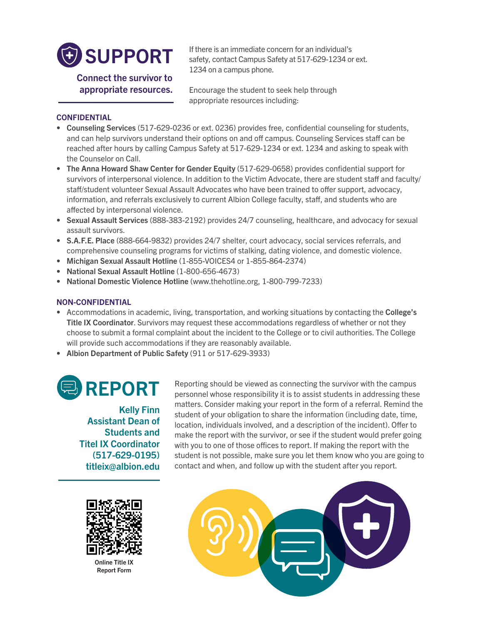

If there is an immediate concern for an individual's safety, contact Campus Safety at 517-629-1234 or ext. 1234 on a campus phone.

Connect the survivor to appropriate resources.

Encourage the student to seek help through appropriate resources including:

## **CONFIDENTIAL**

- Counseling Services (517-629-0236 or ext. 0236) provides free, confidential counseling for students, and can help survivors understand their options on and off campus. Counseling Services staff can be reached after hours by calling Campus Safety at 517-629-1234 or ext. 1234 and asking to speak with the Counselor on Call.
- The Anna Howard Shaw Center for Gender Equity (517-629-0658) provides confidential support for survivors of interpersonal violence. In addition to the Victim Advocate, there are student staff and faculty/ staff/student volunteer Sexual Assault Advocates who have been trained to offer support, advocacy, information, and referrals exclusively to current Albion College faculty, staff, and students who are affected by interpersonal violence.
- Sexual Assault Services (888-383-2192) provides 24/7 counseling, healthcare, and advocacy for sexual assault survivors.
- S.A.F.E. Place (888-664-9832) provides 24/7 shelter, court advocacy, social services referrals, and comprehensive counseling programs for victims of stalking, dating violence, and domestic violence.
- Michigan Sexual Assault Hotline (1-855-VOICES4 or 1-855-864-2374)
- National Sexual Assault Hotline (1-800-656-4673)
- National Domestic Violence Hotline (www.thehotline.org, 1-800-799-7233)

## NON-CONFIDENTIAL

- Accommodations in academic, living, transportation, and working situations by contacting the College's Title IX Coordinator. Survivors may request these accommodations regardless of whether or not they choose to submit a formal complaint about the incident to the College or to civil authorities. The College will provide such accommodations if they are reasonably available.
- Albion Department of Public Safety (911 or 517-629-3933)

# REPORT

Kelly Finn Assistant Dean of Students and Titel IX Coordinator (517-629-0195) titleix@albion.edu

Online Title IX Report Form

Reporting should be viewed as connecting the survivor with the campus personnel whose responsibility it is to assist students in addressing these matters. Consider making your report in the form of a referral. Remind the student of your obligation to share the information (including date, time, location, individuals involved, and a description of the incident). Offer to make the report with the survivor, or see if the student would prefer going with you to one of those offices to report. If making the report with the student is not possible, make sure you let them know who you are going to contact and when, and follow up with the student after you report.

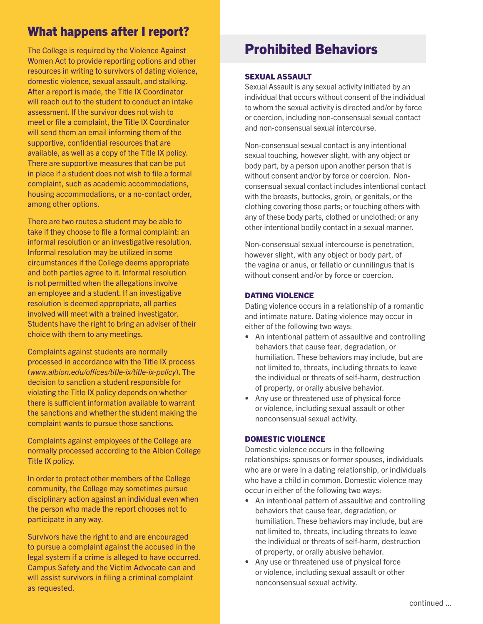## What happens after I report?

The College is required by the Violence Against Women Act to provide reporting options and other resources in writing to survivors of dating violence, domestic violence, sexual assault, and stalking. After a report is made, the Title IX Coordinator will reach out to the student to conduct an intake assessment. If the survivor does not wish to meet or file a complaint, the Title IX Coordinator will send them an email informing them of the supportive, confidential resources that are available, as well as a copy of the Title IX policy. There are supportive measures that can be put in place if a student does not wish to file a formal complaint, such as academic accommodations, housing accommodations, or a no-contact order, among other options.

There are two routes a student may be able to take if they choose to file a formal complaint: an informal resolution or an investigative resolution. Informal resolution may be utilized in some circumstances if the College deems appropriate and both parties agree to it. Informal resolution is not permitted when the allegations involve an employee and a student. If an investigative resolution is deemed appropriate, all parties involved will meet with a trained investigator. Students have the right to bring an adviser of their choice with them to any meetings.

Complaints against students are normally processed in accordance with the Title IX process (*www.albion.edu/offices/title-ix/title-ix-policy*). The decision to sanction a student responsible for violating the Title IX policy depends on whether there is sufficient information available to warrant the sanctions and whether the student making the complaint wants to pursue those sanctions.

Complaints against employees of the College are normally processed according to the Albion College Title IX policy.

In order to protect other members of the College community, the College may sometimes pursue disciplinary action against an individual even when the person who made the report chooses not to participate in any way.

Survivors have the right to and are encouraged to pursue a complaint against the accused in the legal system if a crime is alleged to have occurred. Campus Safety and the Victim Advocate can and will assist survivors in filing a criminal complaint as requested.

## Prohibited Behaviors

### SEXUAL ASSAULT

Sexual Assault is any sexual activity initiated by an individual that occurs without consent of the individual to whom the sexual activity is directed and/or by force or coercion, including non-consensual sexual contact and non-consensual sexual intercourse.

Non-consensual sexual contact is any intentional sexual touching, however slight, with any object or body part, by a person upon another person that is without consent and/or by force or coercion. Nonconsensual sexual contact includes intentional contact with the breasts, buttocks, groin, or genitals, or the clothing covering those parts; or touching others with any of these body parts, clothed or unclothed; or any other intentional bodily contact in a sexual manner.

Non-consensual sexual intercourse is penetration, however slight, with any object or body part, of the vagina or anus, or fellatio or cunnilingus that is without consent and/or by force or coercion.

### DATING VIOLENCE

Dating violence occurs in a relationship of a romantic and intimate nature. Dating violence may occur in either of the following two ways:

- An intentional pattern of assaultive and controlling behaviors that cause fear, degradation, or humiliation. These behaviors may include, but are not limited to, threats, including threats to leave the individual or threats of self-harm, destruction of property, or orally abusive behavior.
- Any use or threatened use of physical force or violence, including sexual assault or other nonconsensual sexual activity.

### DOMESTIC VIOLENCE

Domestic violence occurs in the following relationships: spouses or former spouses, individuals who are or were in a dating relationship, or individuals who have a child in common. Domestic violence may occur in either of the following two ways:

- An intentional pattern of assaultive and controlling behaviors that cause fear, degradation, or humiliation. These behaviors may include, but are not limited to, threats, including threats to leave the individual or threats of self-harm, destruction of property, or orally abusive behavior.
- Any use or threatened use of physical force or violence, including sexual assault or other nonconsensual sexual activity.